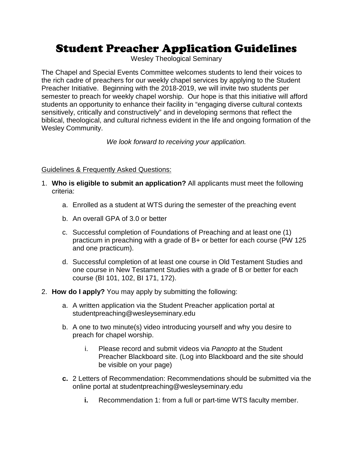## Student Preacher Application Guidelines

Wesley Theological Seminary

The Chapel and Special Events Committee welcomes students to lend their voices to the rich cadre of preachers for our weekly chapel services by applying to the Student Preacher Initiative. Beginning with the 2018-2019, we will invite two students per semester to preach for weekly chapel worship. Our hope is that this initiative will afford students an opportunity to enhance their facility in "engaging diverse cultural contexts sensitively, critically and constructively" and in developing sermons that reflect the biblical, theological, and cultural richness evident in the life and ongoing formation of the Wesley Community.

*We look forward to receiving your application.*

## Guidelines & Frequently Asked Questions:

- 1. **Who is eligible to submit an application?** All applicants must meet the following criteria:
	- a. Enrolled as a student at WTS during the semester of the preaching event
	- b. An overall GPA of 3.0 or better
	- c. Successful completion of Foundations of Preaching and at least one (1) practicum in preaching with a grade of B+ or better for each course (PW 125 and one practicum).
	- d. Successful completion of at least one course in Old Testament Studies and one course in New Testament Studies with a grade of B or better for each course (BI 101, 102, BI 171, 172).
- 2. **How do I apply?** You may apply by submitting the following:
	- a. A written application via the Student Preacher application portal at studentpreaching@wesleyseminary.edu
	- b. A one to two minute(s) video introducing yourself and why you desire to preach for chapel worship.
		- i. Please record and submit videos via *Panopto* at the Student Preacher Blackboard site. (Log into Blackboard and the site should be visible on your page)
	- **c.** 2 Letters of Recommendation: Recommendations should be submitted via the online portal at studentpreaching@wesleyseminary.edu
		- **i.** Recommendation 1: from a full or part-time WTS faculty member.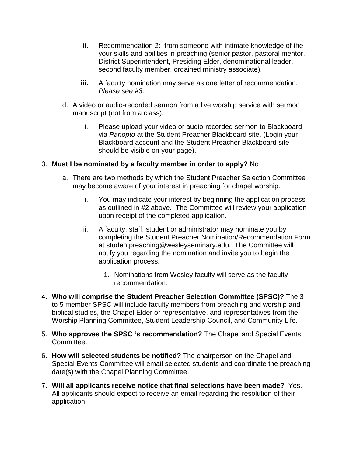- **ii.** Recommendation 2: from someone with intimate knowledge of the your skills and abilities in preaching (senior pastor, pastoral mentor, District Superintendent, Presiding Elder, denominational leader, second faculty member, ordained ministry associate).
- **iii.** A faculty nomination may serve as one letter of recommendation. *Please see #3.*
- d. A video or audio-recorded sermon from a live worship service with sermon manuscript (not from a class).
	- i. Please upload your video or audio-recorded sermon to Blackboard via *Panopto* at the Student Preacher Blackboard site. (Login your Blackboard account and the Student Preacher Blackboard site should be visible on your page).

## 3. **Must I be nominated by a faculty member in order to apply?** No

- a. There are two methods by which the Student Preacher Selection Committee may become aware of your interest in preaching for chapel worship.
	- i. You may indicate your interest by beginning the application process as outlined in #2 above. The Committee will review your application upon receipt of the completed application.
	- ii. A faculty, staff, student or administrator may nominate you by completing the Student Preacher Nomination/Recommendation Form at studentpreaching@wesleyseminary.edu. The Committee will notify you regarding the nomination and invite you to begin the application process.
		- 1. Nominations from Wesley faculty will serve as the faculty recommendation.
- 4. **Who will comprise the Student Preacher Selection Committee (SPSC)?** The 3 to 5 member SPSC will include faculty members from preaching and worship and biblical studies, the Chapel Elder or representative, and representatives from the Worship Planning Committee, Student Leadership Council, and Community Life.
- 5. **Who approves the SPSC 's recommendation?** The Chapel and Special Events Committee.
- 6. **How will selected students be notified?** The chairperson on the Chapel and Special Events Committee will email selected students and coordinate the preaching date(s) with the Chapel Planning Committee.
- 7. **Will all applicants receive notice that final selections have been made?** Yes. All applicants should expect to receive an email regarding the resolution of their application.